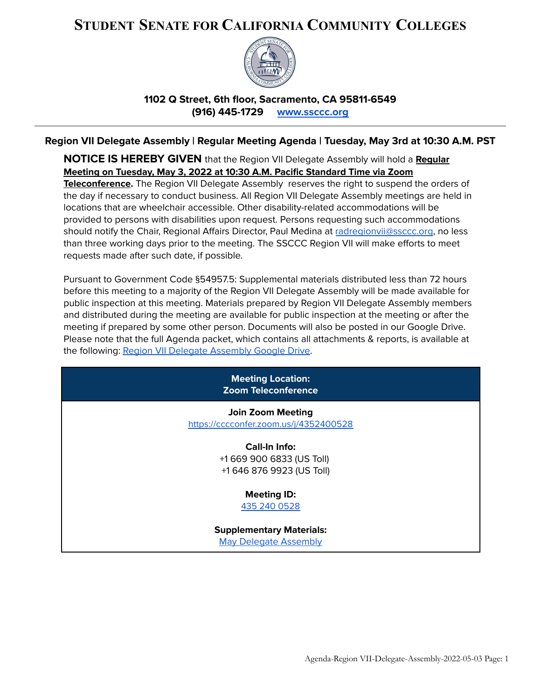# **STUDENT SENATE FOR CALIFORNIA COMMUNITY COLLEGES**



**1102 Q Street, 6th floor, Sacramento, CA 95811-6549 (916) 445-1729 [www.ssccc.org](http://www.ssccc.org)**

# **Region VII Delegate Assembly | Regular Meeting Agenda | Tuesday, May 3rd at 10:30 A.M. PST**

**NOTICE IS HEREBY GIVEN** that the Region VII Delegate Assembly will hold a **Regular Meeting on Tuesday, May 3, 2022 at 10:30 A.M. Pacific Standard Time via Zoom Teleconference.** The Region VII Delegate Assembly reserves the right to suspend the orders of the day if necessary to conduct business. All Region VII Delegate Assembly meetings are held in locations that are wheelchair accessible. Other disability-related accommodations will be provided to persons with disabilities upon request. Persons requesting such accommodations should notify the Chair, Regional Affairs Director, Paul Medina at [radregionvii@ssccc.org](mailto:radregionvii@ssccc.org), no less than three working days prior to the meeting. The SSCCC Region VII will make efforts to meet requests made after such date, if possible.

Pursuant to Government Code §54957.5: Supplemental materials distributed less than 72 hours before this meeting to a majority of the Region VII Delegate Assembly will be made available for public inspection at this meeting. Materials prepared by Region VII Delegate Assembly members and distributed during the meeting are available for public inspection at the meeting or after the meeting if prepared by some other person. Documents will also be posted in our Google Drive. Please note that the full Agenda packet, which contains all attachments & reports, is available at the following: Region VII Delegate [Assembly](https://drive.google.com/drive/folders/1as9-NPXM7qgjnzuicd9ay9nkyaIXdIwU?usp=sharing) Google Drive.

| <b>Meeting Location:</b><br><b>Zoom Teleconference</b>             |
|--------------------------------------------------------------------|
| <b>Join Zoom Meeting</b><br>https://cccconfer.zoom.us/j/4352400528 |
| Call-In Info:                                                      |
| +1 669 900 6833 (US Toll)                                          |
| +1 646 876 9923 (US Toll)                                          |
| <b>Meeting ID:</b>                                                 |
| 435 240 0528                                                       |
| <b>Supplementary Materials:</b>                                    |
| <b>May Delegate Assembly</b>                                       |
|                                                                    |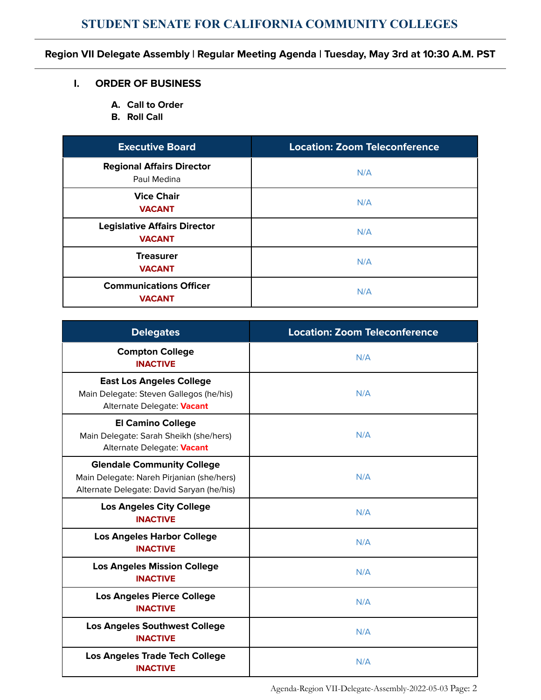# **Region VII Delegate Assembly | Regular Meeting Agenda | Tuesday, May 3rd at 10:30 A.M. PST**

#### **I. ORDER OF BUSINESS**

- **A. Call to Order**
- **B. Roll Call**

| <b>Executive Board</b>                               | <b>Location: Zoom Teleconference</b> |  |  |
|------------------------------------------------------|--------------------------------------|--|--|
| <b>Regional Affairs Director</b><br>Paul Medina      | N/A                                  |  |  |
| <b>Vice Chair</b><br><b>VACANT</b>                   | N/A                                  |  |  |
| <b>Legislative Affairs Director</b><br><b>VACANT</b> | N/A                                  |  |  |
| <b>Treasurer</b><br><b>VACANT</b>                    | N/A                                  |  |  |
| <b>Communications Officer</b><br><b>VACANT</b>       | N/A                                  |  |  |

| <b>Delegates</b>                                                                                                            | <b>Location: Zoom Teleconference</b> |  |  |
|-----------------------------------------------------------------------------------------------------------------------------|--------------------------------------|--|--|
| <b>Compton College</b><br><b>INACTIVE</b>                                                                                   | N/A                                  |  |  |
| <b>East Los Angeles College</b><br>Main Delegate: Steven Gallegos (he/his)<br>Alternate Delegate: Vacant                    | N/A                                  |  |  |
| <b>El Camino College</b><br>Main Delegate: Sarah Sheikh (she/hers)<br>Alternate Delegate: Vacant                            | N/A                                  |  |  |
| <b>Glendale Community College</b><br>Main Delegate: Nareh Pirjanian (she/hers)<br>Alternate Delegate: David Saryan (he/his) | N/A                                  |  |  |
| <b>Los Angeles City College</b><br><b>INACTIVE</b>                                                                          | N/A                                  |  |  |
| <b>Los Angeles Harbor College</b><br><b>INACTIVE</b>                                                                        | N/A                                  |  |  |
| <b>Los Angeles Mission College</b><br><b>INACTIVE</b>                                                                       | N/A                                  |  |  |
| <b>Los Angeles Pierce College</b><br><b>INACTIVE</b>                                                                        | N/A                                  |  |  |
| <b>Los Angeles Southwest College</b><br><b>INACTIVE</b>                                                                     | N/A                                  |  |  |
| <b>Los Angeles Trade Tech College</b><br><b>INACTIVE</b>                                                                    | N/A                                  |  |  |

Agenda-Region VII-Delegate-Assembly-2022-05-03 Page: 2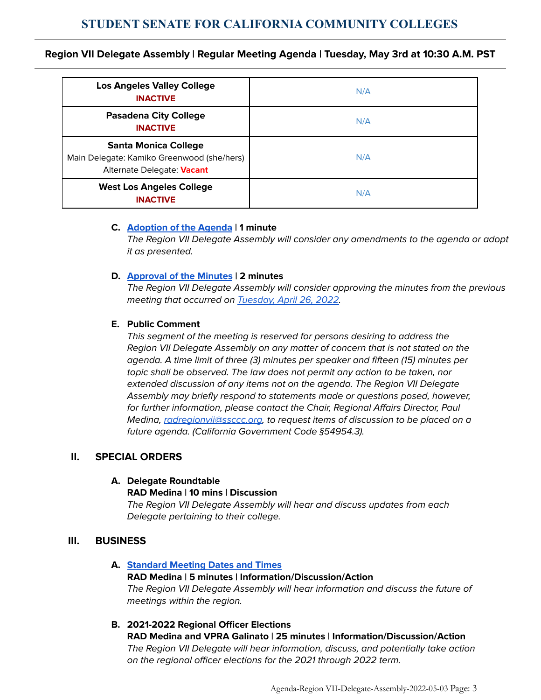### **Region VII Delegate Assembly | Regular Meeting Agenda | Tuesday, May 3rd at 10:30 A.M. PST**

| <b>Los Angeles Valley College</b><br><b>INACTIVE</b>                                                    | N/A |
|---------------------------------------------------------------------------------------------------------|-----|
| <b>Pasadena City College</b><br><b>INACTIVE</b>                                                         | N/A |
| <b>Santa Monica College</b><br>Main Delegate: Kamiko Greenwood (she/hers)<br>Alternate Delegate: Vacant | N/A |
| <b>West Los Angeles College</b><br><b>INACTIVE</b>                                                      | N/A |

#### **C. [Adoption](https://docs.google.com/document/d/1hd5NVSiv16ZCBQ0Fyx7awDktC_FtEdNj-gsFLlJC6I8/edit) of the Agenda | 1 minute**

The Region VII Delegate Assembly will consider any amendments to the agenda or adopt it as presented.

#### **D. [Approval](https://docs.google.com/document/d/1VuvQIyRHIdspzJWkZdLyydIY0YKpo0GpwRqCsDDS0OY/edit) of the Minutes | 2 minutes**

The Region VII Delegate Assembly will consider approving the minutes from the previous meeting that occurred on [Tuesday,](https://docs.google.com/document/d/1VuvQIyRHIdspzJWkZdLyydIY0YKpo0GpwRqCsDDS0OY/edit) April 26, 2022.

#### **E. Public Comment**

This segment of the meeting is reserved for persons desiring to address the Region VII Delegate Assembly on any matter of concern that is not stated on the agenda. A time limit of three (3) minutes per speaker and fifteen (15) minutes per topic shall be observed. The law does not permit any action to be taken, nor extended discussion of any items not on the agenda. The Region VII Delegate Assembly may briefly respond to statements made or questions posed, however, for further information, please contact the Chair, Regional Affairs Director, Paul Medina, [radregionvii@ssccc.org,](mailto:radregionvii@ssccc.org) to request items of discussion to be placed on a future agenda. (California Government Code §54954.3).

#### **II. SPECIAL ORDERS**

#### **A. Delegate Roundtable**

#### **RAD Medina | 10 mins | Discussion**

The Region VII Delegate Assembly will hear and discuss updates from each Delegate pertaining to their college.

#### **III. BUSINESS**

#### **A. [Standard](https://docs.google.com/document/d/184NhZSBzqKUlMuVVRrDtRUprNo_0z3LJ5DeeH8BJ6w0/edit) Meeting Dates and Times**

# **RAD Medina | 5 minutes | Information/Discussion/Action** The Region VII Delegate Assembly will hear information and discuss the future of meetings within the region.

#### **B. 2021-2022 Regional Officer Elections**

**RAD Medina and VPRA Galinato | 25 minutes | Information/Discussion/Action** The Region VII Delegate will hear information, discuss, and potentially take action on the regional officer elections for the 2021 through 2022 term.